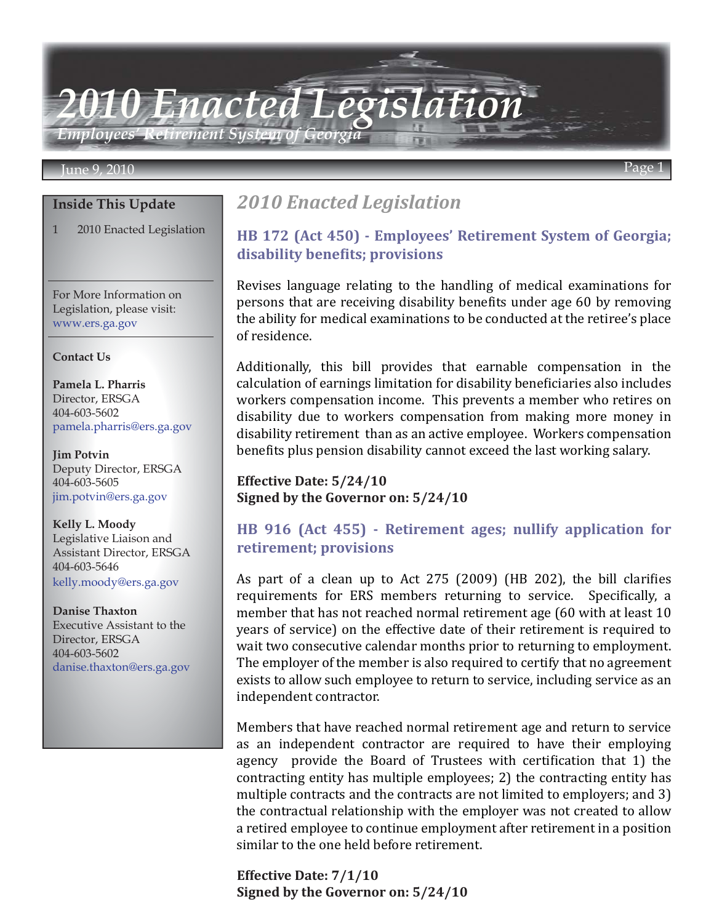*Employees' Retirement System of Georgia*

#### June 9, 2010 Page 1

#### **Inside This Update**

1 2010 Enacted Legislation

For More Information on Legislation, please visit: www.ers.ga.gov

#### **Contact Us**

**Pamela L. Pharris** Director, ERSGA 404-603-5602 pamela.pharris@ers.ga.gov

**Jim Potvin** Deputy Director, ERSGA 404-603-5605 jim.potvin@ers.ga.gov

**Kelly L. Moody** Legislative Liaison and Assistant Director, ERSGA 404-603-5646 kelly.moody@ers.ga.gov

**Danise Thaxton** Executive Assistant to the Director, ERSGA 404-603-5602 danise.thaxton@ers.ga.gov

## *2010 Enacted Legislation*

*2010 Enacted Legislation*

### **HB 172 (Act 450) - Employees' Retirement System of Georgia; disability benefits; provisions**

Revises language relating to the handling of medical examinations for persons that are receiving disability benefits under age 60 by removing the ability for medical examinations to be conducted at the retiree's place of residence.

Additionally, this bill provides that earnable compensation in the calculation of earnings limitation for disability beneficiaries also includes workers compensation income. This prevents a member who retires on disability due to workers compensation from making more money in disability retirement than as an active employee. Workers compensation benefits plus pension disability cannot exceed the last working salary.

**Effective Date: 5/24/10 Signed by the Governor on: 5/24/10**

### **HB 916 (Act 455) - Retirement ages; nullify application for retirement; provisions**

As part of a clean up to Act 275 (2009) (HB 202), the bill clarifies requirements for ERS members returning to service. Specifically, a member that has not reached normal retirement age (60 with at least 10 years of service) on the effective date of their retirement is required to wait two consecutive calendar months prior to returning to employment. The employer of the member is also required to certify that no agreement exists to allow such employee to return to service, including service as an independent contractor.

Members that have reached normal retirement age and return to service as an independent contractor are required to have their employing agency provide the Board of Trustees with certification that 1) the contracting entity has multiple employees; 2) the contracting entity has multiple contracts and the contracts are not limited to employers; and 3) the contractual relationship with the employer was not created to allow a retired employee to continue employment after retirement in a position similar to the one held before retirement.

**Effective Date: 7/1/10 Signed by the Governor on: 5/24/10**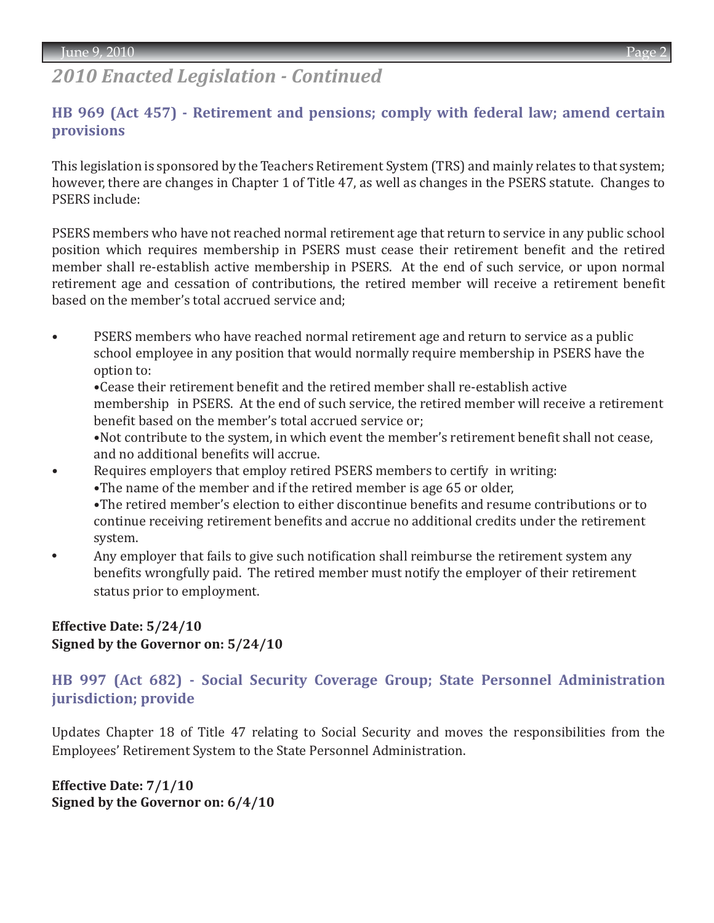# *2010 Enacted Legislation - Continued*

### **HB 969 (Act 457) - Retirement and pensions; comply with federal law; amend certain provisions**

This legislation is sponsored by the Teachers Retirement System (TRS) and mainly relates to that system; however, there are changes in Chapter 1 of Title 47, as well as changes in the PSERS statute. Changes to PSERS include:

PSERS members who have not reached normal retirement age that return to service in any public school position which requires membership in PSERS must cease their retirement benefit and the retired member shall re-establish active membership in PSERS. At the end of such service, or upon normal retirement age and cessation of contributions, the retired member will receive a retirement benefit based on the member's total accrued service and;

• PSERS members who have reached normal retirement age and return to service as a public school employee in any position that would normally require membership in PSERS have the option to:

 •Cease their retirement benefit and the retired member shall re-establish active membership in PSERS. At the end of such service, the retired member will receive a retirement benefit based on the member's total accrued service or;

 •Not contribute to the system, in which event the member's retirement benefit shall not cease, and no additional benefits will accrue.

- Requires employers that employ retired PSERS members to certify in writing: •The name of the member and if the retired member is age 65 or older, •The retired member's election to either discontinue benefits and resume contributions or to continue receiving retirement benefits and accrue no additional credits under the retirement system.
- **•** Any employer that fails to give such notification shall reimburse the retirement system any benefits wrongfully paid. The retired member must notify the employer of their retirement status prior to employment.

### **Effective Date: 5/24/10 Signed by the Governor on: 5/24/10**

**HB 997 (Act 682) - Social Security Coverage Group; State Personnel Administration jurisdiction; provide**

Updates Chapter 18 of Title 47 relating to Social Security and moves the responsibilities from the Employees' Retirement System to the State Personnel Administration.

**Effective Date: 7/1/10 Signed by the Governor on: 6/4/10**